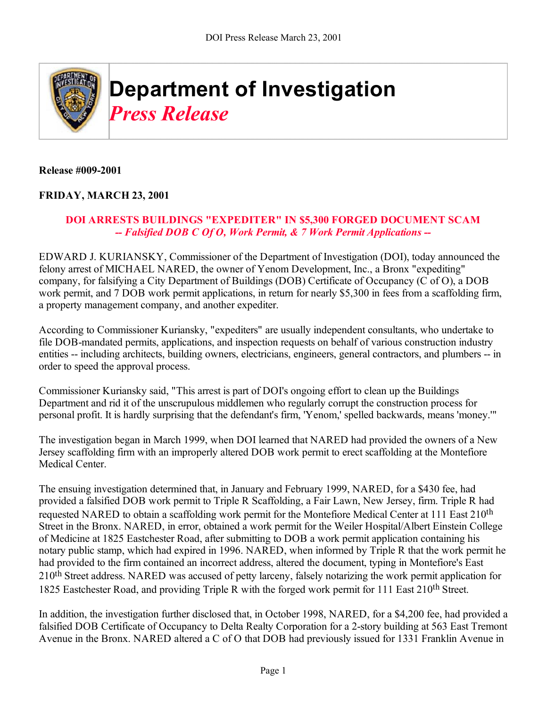

## **Release #009-2001**

## **FRIDAY, MARCH 23, 2001**

## **DOI ARRESTS BUILDINGS "EXPEDITER" IN \$5,300 FORGED DOCUMENT SCAM** *-- Falsified DOB C Of O, Work Permit, & 7 Work Permit Applications --*

EDWARD J. KURIANSKY, Commissioner of the Department of Investigation (DOI), today announced the felony arrest of MICHAEL NARED, the owner of Yenom Development, Inc., a Bronx "expediting" company, for falsifying a City Department of Buildings (DOB) Certificate of Occupancy (C of O), a DOB work permit, and 7 DOB work permit applications, in return for nearly \$5,300 in fees from a scaffolding firm, a property management company, and another expediter.

According to Commissioner Kuriansky, "expediters" are usually independent consultants, who undertake to file DOB-mandated permits, applications, and inspection requests on behalf of various construction industry entities -- including architects, building owners, electricians, engineers, general contractors, and plumbers -- in order to speed the approval process.

Commissioner Kuriansky said, "This arrest is part of DOI's ongoing effort to clean up the Buildings Department and rid it of the unscrupulous middlemen who regularly corrupt the construction process for personal profit. It is hardly surprising that the defendant's firm, 'Yenom,' spelled backwards, means 'money.'"

The investigation began in March 1999, when DOI learned that NARED had provided the owners of a New Jersey scaffolding firm with an improperly altered DOB work permit to erect scaffolding at the Montefiore Medical Center.

The ensuing investigation determined that, in January and February 1999, NARED, for a \$430 fee, had provided a falsified DOB work permit to Triple R Scaffolding, a Fair Lawn, New Jersey, firm. Triple R had requested NARED to obtain a scaffolding work permit for the Montefiore Medical Center at 111 East 210th Street in the Bronx. NARED, in error, obtained a work permit for the Weiler Hospital/Albert Einstein College of Medicine at 1825 Eastchester Road, after submitting to DOB a work permit application containing his notary public stamp, which had expired in 1996. NARED, when informed by Triple R that the work permit he had provided to the firm contained an incorrect address, altered the document, typing in Montefiore's East 210<sup>th</sup> Street address. NARED was accused of petty larceny, falsely notarizing the work permit application for 1825 Eastchester Road, and providing Triple R with the forged work permit for 111 East 210th Street.

In addition, the investigation further disclosed that, in October 1998, NARED, for a \$4,200 fee, had provided a falsified DOB Certificate of Occupancy to Delta Realty Corporation for a 2-story building at 563 East Tremont Avenue in the Bronx. NARED altered a C of O that DOB had previously issued for 1331 Franklin Avenue in